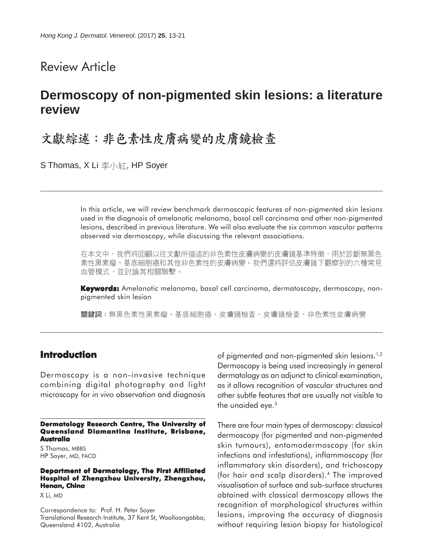## Review Article

# **Dermoscopy of non-pigmented skin lesions: a literature review**

# 文獻綜述:非色素性皮膚病變的皮膚鏡檢查

S Thomas, X Li  $\overline{\mathcal{F}}$ 小紅, HP Soyer

In this article, we will review benchmark dermoscopic features of non-pigmented skin lesions used in the diagnosis of amelanotic melanoma, basal cell carcinoma and other non-pigmented lesions, described in previous literature. We will also evaluate the six common vascular patterns observed via dermoscopy, while discussing the relevant associations.

在本文中,我們將回顧以往文獻所描述的非色素性皮膚病變的皮膚鏡基準特徵,用於診斷無黑色 素性黑素瘤、基底細胞癌和其他非色素性的皮膚病變。我們還將評估皮膚鏡下觀察到的六種常見 血管模式,並討論其相關聯繫。

**Keywords:** Amelanotic melanoma, basal cell carcinoma, dermatoscopy, dermoscopy, nonpigmented skin lesion

**關鍵詞:無黑色素性黑素瘤、基底細胞癌、皮膚鏡檢杳、皮膚鏡檢杳、非色素性皮膚病變** 

## **Introduction**

Dermoscopy is a non-invasive technique combining digital photography and light microscopy for *in vivo* observation and diagnosis

#### **Dermatology Research Centre, The University of Queensland Diamantina Institute, Brisbane, Australia**

S Thomas, MBBS HP Soyer, MD, FACD

#### **Department of Dermatology, The First Affiliated Hospital of Zhengzhou University, Zhengzhou, Henan, China**

X Li, MD

Correspondence to: Prof. H. Peter Soyer Translational Research Institute, 37 Kent St, Woolloongabba, Queensland 4102, Australia

of pigmented and non-pigmented skin lesions.<sup>1,2</sup> Dermoscopy is being used increasingly in general dermatology as an adjunct to clinical examination, as it allows recognition of vascular structures and other subtle features that are usually not visible to the unaided eye.<sup>3</sup>

There are four main types of dermoscopy: classical dermoscopy (for pigmented and non-pigmented skin tumours), entomodermoscopy (for skin infections and infestations), inflammoscopy (for inflammatory skin disorders), and trichoscopy (for hair and scalp disorders).4 The improved visualisation of surface and sub-surface structures obtained with classical dermoscopy allows the recognition of morphological structures within lesions, improving the accuracy of diagnosis without requiring lesion biopsy for histological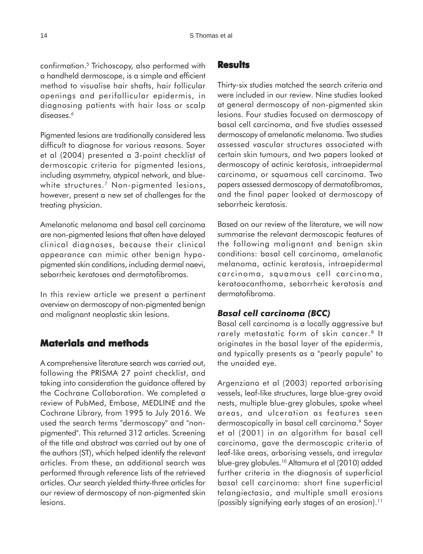confirmation.5 Trichoscopy, also performed with a handheld dermoscope, is a simple and efficient method to visualise hair shafts, hair follicular openings and perifollicular epidermis, in diagnosing patients with hair loss or scalp diseases.<sup>6</sup>

Pigmented lesions are traditionally considered less difficult to diagnose for various reasons. Soyer et al (2004) presented a 3-point checklist of dermoscopic criteria for pigmented lesions, including asymmetry, atypical network, and bluewhite structures.<sup>7</sup> Non-pigmented lesions, however, present a new set of challenges for the treating physician.

Amelanotic melanoma and basal cell carcinoma are non-pigmented lesions that often have delayed clinical diagnoses, because their clinical appearance can mimic other benign hypopigmented skin conditions, including dermal naevi, seborrheic keratoses and dermatofibromas.

In this review article we present a pertinent overview on dermoscopy of non-pigmented benign and malignant neoplastic skin lesions.

#### **Materials and methods**

A comprehensive literature search was carried out, following the PRISMA 27 point checklist, and taking into consideration the guidance offered by the Cochrane Collaboration. We completed a review of PubMed, Embase, MEDLINE and the Cochrane Library, from 1995 to July 2016. We used the search terms "dermoscopy" and "nonpigmented". This returned 312 articles. Screening of the title and abstract was carried out by one of the authors (ST), which helped identify the relevant articles. From these, an additional search was performed through reference lists of the retrieved articles. Our search yielded thirty-three articles for our review of dermoscopy of non-pigmented skin lesions.

#### **Results**

Thirty-six studies matched the search criteria and were included in our review. Nine studies looked at general dermoscopy of non-pigmented skin lesions. Four studies focused on dermoscopy of basal cell carcinoma, and five studies assessed dermoscopy of amelanotic melanoma. Two studies assessed vascular structures associated with certain skin tumours, and two papers looked at dermoscopy of actinic keratosis, intraepidermal carcinoma, or squamous cell carcinoma. Two papers assessed dermoscopy of dermatofibromas, and the final paper looked at dermoscopy of seborrheic keratosis.

Based on our review of the literature, we will now summarise the relevant dermoscopic features of the following malignant and benign skin conditions: basal cell carcinoma, amelanotic melanoma, actinic keratosis, intraepidermal carcinoma, squamous cell carcinoma, keratoacanthoma, seborrheic keratosis and dermatofibroma.

#### *Basal cell carcinoma (BCC)*

Basal cell carcinoma is a locally aggressive but rarely metastatic form of skin cancer.<sup>8</sup> It originates in the basal layer of the epidermis, and typically presents as a "pearly papule" to the unaided eye.

Argenziano et al (2003) reported arborising vessels, leaf-like structures, large blue-grey ovoid nests, multiple blue-grey globules, spoke wheel areas, and ulceration as features seen dermoscopically in basal cell carcinoma.<sup>9</sup> Soyer et al (2001) in an algorithm for basal cell carcinoma, gave the dermoscopic criteria of leaf-like areas, arborising vessels, and irregular blue-grey globules.10 Altamura et al (2010) added further criteria in the diagnosis of superficial basal cell carcinoma: short fine superficial telangiectasia, and multiple small erosions (possibly signifying early stages of an erosion).<sup>11</sup>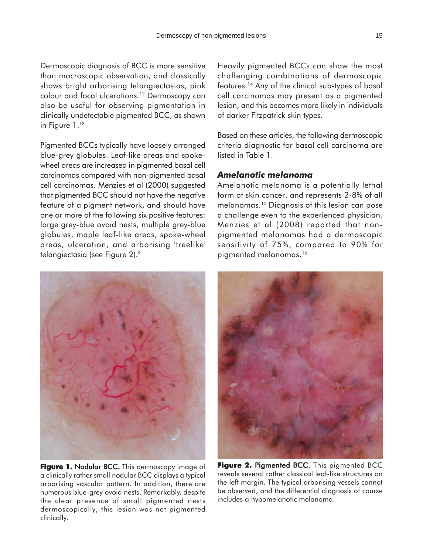Dermoscopic diagnosis of BCC is more sensitive than macroscopic observation, and classically shows bright arborising telangiectasias, pink colour and focal ulcerations.12 Dermoscopy can also be useful for observing pigmentation in clinically undetectable pigmented BCC, as shown in Figure 1.<sup>13</sup>

Pigmented BCCs typically have loosely arranged blue-grey globules. Leaf-like areas and spokewheel areas are increased in pigmented basal cell carcinomas compared with non-pigmented basal cell carcinomas. Menzies et al (2000) suggested that pigmented BCC should not have the negative feature of a pigment network, and should have one or more of the following six positive features: large grey-blue ovoid nests, multiple grey-blue globules, maple leaf-like areas, spoke-wheel areas, ulceration, and arborising 'treelike' telangiectasia (see Figure 2).<sup>9</sup>



**Figure 1. Nodular BCC.** This dermoscopy image of a clinically rather small nodular BCC displays a typical arborising vascular pattern. In addition, there are numerous blue-grey ovoid nests. Remarkably, despite the clear presence of small pigmented nests dermoscopically, this lesion was not pigmented clinically.

Heavily pigmented BCCs can show the most challenging combinations of dermoscopic features.14 Any of the clinical sub-types of basal cell carcinomas may present as a pigmented lesion, and this becomes more likely in individuals of darker Fitzpatrick skin types.

Based on these articles, the following dermoscopic criteria diagnostic for basal cell carcinoma are listed in Table 1.

#### *Amelanotic melanoma*

Amelanotic melanoma is a potentially lethal form of skin cancer, and represents 2-8% of all melanomas.15 Diagnosis of this lesion can pose a challenge even to the experienced physician. Menzies et al (2008) reported that nonpigmented melanomas had a dermoscopic sensitivity of 75%, compared to 90% for pigmented melanomas.<sup>16</sup>



**Figure 2. Pigmented BCC.** This pigmented BCC reveals several rather classical leaf-like structures on the left margin. The typical arborising vessels cannot be observed, and the differential diagnosis of course includes a hypomelanotic melanoma.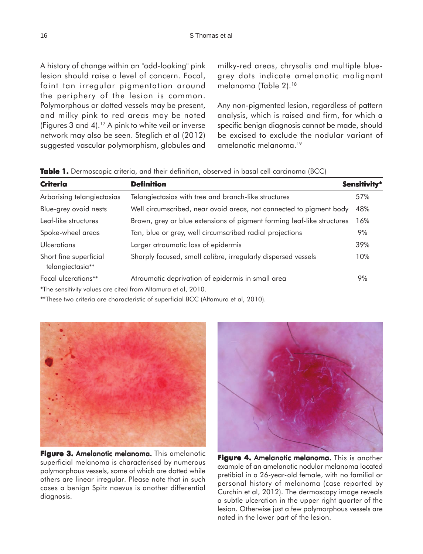A history of change within an "odd-looking" pink lesion should raise a level of concern. Focal, faint tan irregular pigmentation around the periphery of the lesion is common. Polymorphous or dotted vessels may be present, and milky pink to red areas may be noted (Figures 3 and 4).17 A pink to white veil or inverse network may also be seen. Steglich et al (2012) suggested vascular polymorphism, globules and milky-red areas, chrysalis and multiple bluegrey dots indicate amelanotic malignant melanoma (Table 2).<sup>18</sup>

Any non-pigmented lesion, regardless of pattern analysis, which is raised and firm, for which a specific benign diagnosis cannot be made, should be excised to exclude the nodular variant of amelanotic melanoma.19

**Table 1.** Dermoscopic criteria, and their definition, observed in basal cell carcinoma (BCC)

| <b>Criteria</b>                                                | <b>Definition</b><br><b>Sensitivity*</b>                               |     |
|----------------------------------------------------------------|------------------------------------------------------------------------|-----|
| Arborising telangiectasias                                     | Telangiectasias with tree and branch-like structures                   | 57% |
| Blue-grey ovoid nests                                          | Well circumscribed, near ovoid areas, not connected to pigment body    | 48% |
| Leaf-like structures                                           | Brown, grey or blue extensions of pigment forming leaf-like structures | 16% |
| Spoke-wheel areas                                              | Tan, blue or grey, well circumscribed radial projections               | 9%  |
| Ulcerations                                                    | Larger atraumatic loss of epidermis                                    | 39% |
| Short fine superficial<br>telangiectasia**                     | Sharply focused, small calibre, irregularly dispersed vessels          | 10% |
| Focal ulcerations**                                            | Atraumatic deprivation of epidermis in small area                      | 9%  |
| $*$ The sensitivity values are sited from Altamura at al. 2010 |                                                                        |     |

The sensitivity values are cited from Altamura et al, 2010.

\*\*These two criteria are characteristic of superficial BCC (Altamura et al, 2010).



Figure 3. Amelanotic melanoma. This amelanotic superficial melanoma is characterised by numerous polymorphous vessels, some of which are dotted while others are linear irregular. Please note that in such cases a benign Spitz naevus is another differential diagnosis.



Figure 4. Amelanotic melanoma. This is another example of an amelanotic nodular melanoma located pretibial in a 26-year-old female, with no familial or personal history of melanoma (case reported by Curchin et al, 2012). The dermoscopy image reveals a subtle ulceration in the upper right quarter of the lesion. Otherwise just a few polymorphous vessels are noted in the lower part of the lesion.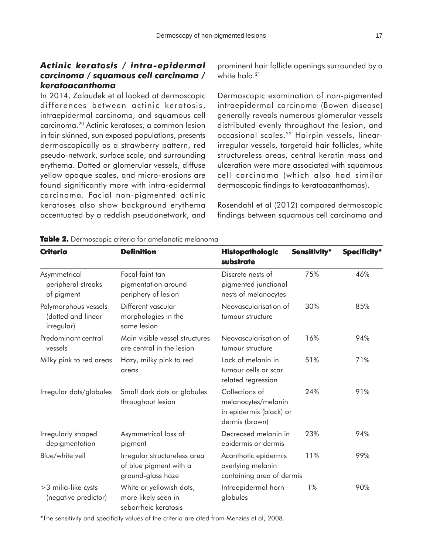## *Actinic keratosis / intra-epidermal carcinoma / squamous cell carcinoma / keratoacanthoma*

In 2014, Zalaudek et al looked at dermoscopic differences between actinic keratosis, intraepidermal carcinoma, and squamous cell carcinoma.20 Actinic keratoses, a common lesion in fair-skinned, sun exposed populations, presents dermoscopically as a strawberry pattern, red pseudo-network, surface scale, and surrounding erythema. Dotted or glomerular vessels, diffuse yellow opaque scales, and micro-erosions are found significantly more with intra-epidermal carcinoma. Facial non-pigmented actinic keratoses also show background erythema accentuated by a reddish pseudonetwork, and prominent hair follicle openings surrounded by a white halo.<sup>21</sup>

Dermoscopic examination of non-pigmented intraepidermal carcinoma (Bowen disease) generally reveals numerous glomerular vessels distributed evenly throughout the lesion, and occasional scales.22 Hairpin vessels, linearirregular vessels, targetoid hair follicles, white structureless areas, central keratin mass and ulceration were more associated with squamous cell carcinoma (which also had similar dermoscopic findings to keratoacanthomas).

Rosendahl et al (2012) compared dermoscopic findings between squamous cell carcinoma and

| <b>Criteria</b>                                          | <b>Definition</b>                                                           | <b>Histopathologic</b><br>substrate                                                | Sensitivity* | <b>Specificity*</b> |
|----------------------------------------------------------|-----------------------------------------------------------------------------|------------------------------------------------------------------------------------|--------------|---------------------|
| Asymmetrical<br>peripheral streaks<br>of pigment         | Focal faint tan<br>pigmentation around<br>periphery of lesion               | Discrete nests of<br>pigmented junctional<br>nests of melanocytes                  | 75%          | 46%                 |
| Polymorphous vessels<br>(dotted and linear<br>irregular) | Different vascular<br>morphologies in the<br>same lesion                    | Neovascularisation of<br>tumour structure                                          | 30%          | 85%                 |
| Predominant central<br>vessels                           | Main visible vessel structures<br>are central in the lesion                 | Neovascularisation of<br>tumour structure                                          | 16%          | 94%                 |
| Milky pink to red areas                                  | Hazy, milky pink to red<br>areas                                            | Lack of melanin in<br>tumour cells or scar<br>related regression                   | 51%          | 71%                 |
| Irregular dots/globules                                  | Small dark dots or globules<br>throughout lesion                            | Collections of<br>melanocytes/melanin<br>in epidermis (black) or<br>dermis (brown) | 24%          | 91%                 |
| Irregularly shaped<br>depigmentation                     | Asymmetrical loss of<br>pigment                                             | Decreased melanin in<br>epidermis or dermis                                        | 23%          | 94%                 |
| Blue/white veil                                          | Irregular structureless area<br>of blue pigment with a<br>ground-glass haze | Acanthotic epidermis<br>overlying melanin<br>containing area of dermis             | 11%          | 99%                 |
| >3 milia-like cysts<br>(negative predictor)              | White or yellowish dots,<br>more likely seen in<br>seborrheic keratosis     | Intraepidermal horn<br>globules                                                    | $1\%$        | 90%                 |

**Table 2. able**  Dermoscopic criteria for amelanotic melanoma

\*The sensitivity and specificity values of the criteria are cited from Menzies et al, 2008.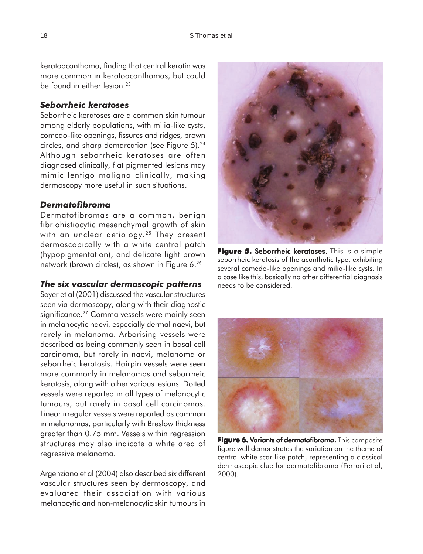keratoacanthoma, finding that central keratin was more common in keratoacanthomas, but could be found in either lesion.<sup>23</sup>

#### *Seborrheic keratoses*

Seborrheic keratoses are a common skin tumour among elderly populations, with milia-like cysts, comedo-like openings, fissures and ridges, brown circles, and sharp demarcation (see Figure 5).<sup>24</sup> Although seborrheic keratoses are often diagnosed clinically, flat pigmented lesions may mimic lentigo maligna clinically, making dermoscopy more useful in such situations.

#### *Dermatofibroma*

Dermatofibromas are a common, benign fibriohistiocytic mesenchymal growth of skin with an unclear aetiology.<sup>25</sup> They present dermoscopically with a white central patch (hypopigmentation), and delicate light brown network (brown circles), as shown in Figure 6.26

#### *The six vascular dermoscopic patterns*

Soyer et al (2001) discussed the vascular structures seen via dermoscopy, along with their diagnostic significance.<sup>27</sup> Comma vessels were mainly seen in melanocytic naevi, especially dermal naevi, but rarely in melanoma. Arborising vessels were described as being commonly seen in basal cell carcinoma, but rarely in naevi, melanoma or seborrheic keratosis. Hairpin vessels were seen more commonly in melanomas and seborrheic keratosis, along with other various lesions. Dotted vessels were reported in all types of melanocytic tumours, but rarely in basal cell carcinomas. Linear irregular vessels were reported as common in melanomas, particularly with Breslow thickness greater than 0.75 mm. Vessels within regression structures may also indicate a white area of regressive melanoma.

Argenziano et al (2004) also described six different vascular structures seen by dermoscopy, and evaluated their association with various melanocytic and non-melanocytic skin tumours in



seborrheic keratosis of the acanthotic type, exhibiting several comedo-like openings and milia-like cysts. In a case like this, basically no other differential diagnosis needs to be considered.



**Figure 6. Variants of dermatofibroma.** This composite figure well demonstrates the variation on the theme of central white scar-like patch, representing a classical dermoscopic clue for dermatofibroma (Ferrari et al, 2000).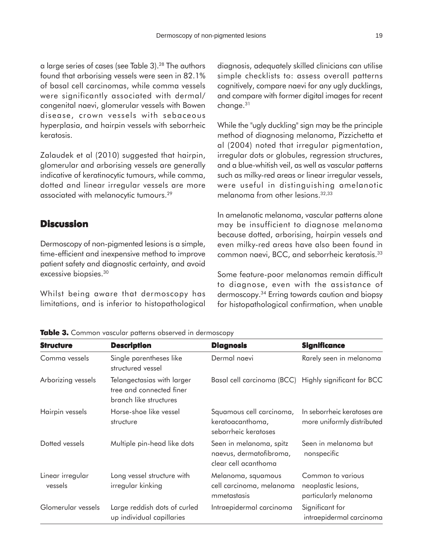a large series of cases (see Table 3).28 The authors found that arborising vessels were seen in 82.1% of basal cell carcinomas, while comma vessels were significantly associated with dermal/ congenital naevi, glomerular vessels with Bowen disease, crown vessels with sebaceous hyperplasia, and hairpin vessels with seborrheic keratosis.

Zalaudek et al (2010) suggested that hairpin, glomerular and arborising vessels are generally indicative of keratinocytic tumours, while comma, dotted and linear irregular vessels are more associated with melanocytic tumours.29

#### **Discussion**

Dermoscopy of non-pigmented lesions is a simple, time-efficient and inexpensive method to improve patient safety and diagnostic certainty, and avoid excessive biopsies.30

Whilst being aware that dermoscopy has limitations, and is inferior to histopathological diagnosis, adequately skilled clinicians can utilise simple checklists to: assess overall patterns cognitively, compare naevi for any ugly ducklings, and compare with former digital images for recent change.31

While the "ugly duckling" sign may be the principle method of diagnosing melanoma, Pizzichetta et al (2004) noted that irregular pigmentation, irregular dots or globules, regression structures, and a blue-whitish veil, as well as vascular patterns such as milky-red areas or linear irregular vessels, were useful in distinguishing amelanotic melanoma from other lesions.32,33

In amelanotic melanoma, vascular patterns alone may be insufficient to diagnose melanoma because dotted, arborising, hairpin vessels and even milky-red areas have also been found in common naevi, BCC, and seborrheic keratosis.33

Some feature-poor melanomas remain difficult to diagnose, even with the assistance of dermoscopy.34 Erring towards caution and biopsy for histopathological confirmation, when unable

| <b>Structure</b>            | <b>Description</b>                                                               | <b>Diagnosis</b>                                                           | <b>Significance</b>                                               |
|-----------------------------|----------------------------------------------------------------------------------|----------------------------------------------------------------------------|-------------------------------------------------------------------|
| Comma vessels               | Single parentheses like<br>structured vessel                                     | Dermal naevi                                                               | Rarely seen in melanoma                                           |
| Arborizing vessels          | Telangectasias with larger<br>tree and connected finer<br>branch like structures | Basal cell carcinoma (BCC) Highly significant for BCC                      |                                                                   |
| Hairpin vessels             | Horse-shoe like vessel<br>structure                                              | Squamous cell carcinoma,<br>keratoacanthoma,<br>seborrheic keratoses       | In seborrheic keratoses are<br>more uniformly distributed         |
| Dotted vessels              | Multiple pin-head like dots                                                      | Seen in melanoma, spitz<br>naevus, dermatofibroma,<br>clear cell acanthoma | Seen in melanoma but<br>nonspecific                               |
| Linear irregular<br>vessels | Long vessel structure with<br>irregular kinking                                  | Melanoma, squamous<br>cell carcinoma, melanoma<br>mmetastasis              | Common to various<br>neoplastic lesions,<br>particularly melanoma |
| Glomerular vessels          | Large reddish dots of curled<br>up individual capillaries                        | Intraepidermal carcinoma                                                   | Significant for<br>intraepidermal carcinoma                       |

**Table 3.** Common vascular patterns observed in dermoscopy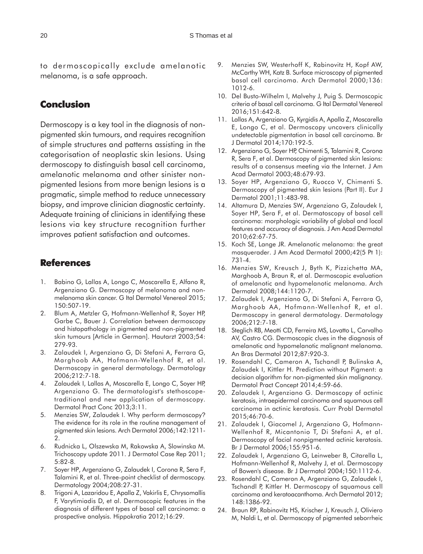to dermoscopically exclude amelanotic melanoma, is a safe approach.

#### **Conclusion**

Dermoscopy is a key tool in the diagnosis of nonpigmented skin tumours, and requires recognition of simple structures and patterns assisting in the categorisation of neoplastic skin lesions. Using dermoscopy to distinguish basal cell carcinoma, amelanotic melanoma and other sinister nonpigmented lesions from more benign lesions is a pragmatic, simple method to reduce unnecessary biopsy, and improve clinician diagnostic certainty. Adequate training of clinicians in identifying these lesions via key structure recognition further improves patient satisfaction and outcomes.

#### **References**

- 1. Babino G, Lallas A, Longo C, Moscarella E, Alfano R, Argenziano G. Dermoscopy of melanoma and nonmelanoma skin cancer. G Ital Dermatol Venereol 2015; 150:507-19.
- 2. Blum A, Metzler G, Hofmann-Wellenhof R, Soyer HP, Garbe C, Bauer J. Correlation between dermoscopy and histopathology in pigmented and non-pigmented skin tumours [Article in German]. Hautarzt 2003;54: 279-93.
- 3. Zalaudek I, Argenziano G, Di Stefani A, Ferrara G, Marghoob AA, Hofmann-Wellenhof R, et al. Dermoscopy in general dermatology. Dermatology 2006;212:7-18.
- 4. Zalaudek I, Lallas A, Moscarella E, Longo C, Soyer HP, Argenziano G. The dermatologist's stethoscopetraditional and new application of dermoscopy. Dermatol Pract Conc 2013;3:11.
- 5. Menzies SW, Zalaudek I. Why perform dermoscopy? The evidence for its role in the routine management of pigmented skin lesions. Arch Dermatol 2006;142:1211-  $\mathcal{D}$
- 6. Rudnicka L, Olszewska M, Rakowska A, Slowinska M. Trichoscopy update 2011. J Dermatol Case Rep 2011; 5:82-8.
- 7. Soyer HP, Argenziano G, Zalaudek I, Corona R, Sera F, Talamini R, et al. Three-point checklist of dermoscopy. Dermatology 2004;208:27-31.
- 8. Trigoni A, Lazaridou E, Apalla Z, Vakirlis E, Chrysomallis F, Varytimiadis D, et al. Dermoscopic features in the diagnosis of different types of basal cell carcinoma: a prospective analysis. Hippokratia 2012;16:29.
- 9. Menzies SW, Westerhoff K, Rabinovitz H, Kopf AW, McCarthy WH, Katz B. Surface microscopy of pigmented basal cell carcinoma. Arch Dermatol 2000;136: 1012-6.
- 10. Del Busto-Wilhelm I, Malvehy J, Puig S. Dermoscopic criteria of basal cell carcinoma. G Ital Dermatol Venereol 2016;151:642-8.
- 11. Lallas A, Argenziano G, Kyrgidis A, Apalla Z, Moscarella E, Longo C, et al. Dermoscopy uncovers clinically undetectable pigmentation in basal cell carcinoma. Br J Dermatol 2014;170:192-5.
- 12. Argenziano G, Soyer HP, Chimenti S, Talamini R, Corona R, Sera F, et al. Dermoscopy of pigmented skin lesions: results of a consensus meeting via the Internet. J Am Acad Dermatol 2003;48:679-93.
- 13. Soyer HP, Argenziano G, Ruocco V, Chimenti S. Dermoscopy of pigmented skin lesions (Part II). Eur J Dermatol 2001;11:483-98.
- 14. Altamura D, Menzies SW, Argenziano G, Zalaudek I, Soyer HP, Sera F, et al. Dermatoscopy of basal cell carcinoma: morphologic variability of global and local features and accuracy of diagnosis. J Am Acad Dermatol 2010;62:67-75.
- 15. Koch SE, Lange JR. Amelanotic melanoma: the great masquerader. J Am Acad Dermatol 2000;42(5 Pt 1): 731-4.
- 16. Menzies SW, Kreusch J, Byth K, Pizzichetta MA, Marghoob A, Braun R, et al. Dermoscopic evaluation of amelanotic and hypomelanotic melanoma. Arch Dermatol 2008;144:1120-7.
- 17. Zalaudek I, Argenziano G, Di Stefani A, Ferrara G, Marghoob AA, Hofmann-Wellenhof R, et al. Dermoscopy in general dermatology. Dermatology 2006;212:7-18.
- 18. Steglich RB, Meotti CD, Ferreira MS, Lovatto L, Carvalho AV, Castro CG. Dermoscopic clues in the diagnosis of amelanotic and hypomelanotic malignant melanoma. An Bras Dermatol 2012;87:920-3.
- 19. Rosendahl C, Cameron A, Tschandl P, Bulinska A, Zalaudek I, Kittler H. Prediction without Pigment: a decision algorithm for non-pigmented skin malignancy. Dermatol Pract Concept 2014;4:59-66.
- 20. Zalaudek I, Argenziano G. Dermoscopy of actinic keratosis, intraepidermal carcinoma and squamous cell carcinoma in actinic keratosis. Curr Probl Dermatol 2015;46:70-6.
- 21. Zalaudek I, Giacomel J, Argenziano G, Hofmann-Wellenhof R, Micantonio T, Di Stefani A, et al. Dermoscopy of facial nonpigmented actinic keratosis. Br J Dermatol 2006;155:951-6.
- 22. Zalaudek I, Argenziano G, Leinweber B, Citarella L, Hofmann-Wellenhof R, Malvehy J, et al. Dermoscopy of Bowen's disease. Br J Dermatol 2004;150:1112-6.
- 23. Rosendahl C, Cameron A, Argenziano G, Zalaudek I, Tschandl P, Kittler H. Dermoscopy of squamous cell carcinoma and keratoacanthoma. Arch Dermatol 2012; 148:1386-92.
- 24. Braun RP, Rabinovitz HS, Krischer J, Kreusch J, Oliviero M, Naldi L, et al. Dermoscopy of pigmented seborrheic